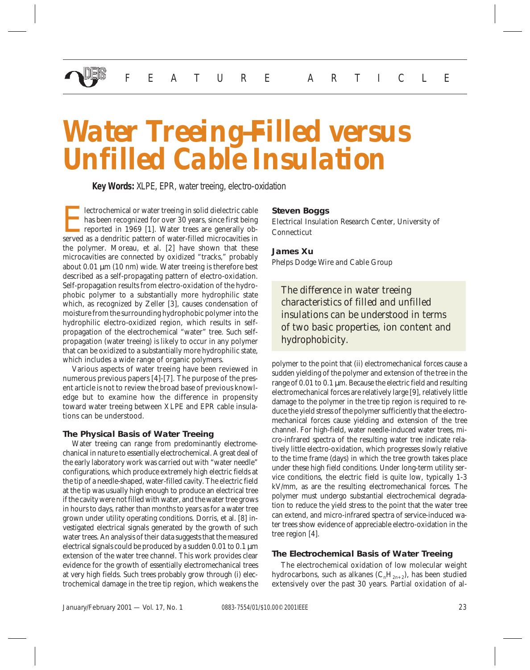# *Water Treeing—Filled versus Unfilled Cable Insulation*

**Key Words:** XLPE, EPR, water treeing, electro-oxidation

Iectrochemical or water treeing in solid dielectric cable<br>has been recognized for over 30 years, since first being<br>reported in 1969 [1]. Water trees are generally ob-<br>served as a dendritic pattern of water-filled microcavi has been recognized for over 30 years, since first being reported in 1969 [1]. Water trees are generally observed as a dendritic pattern of water-filled microcavities in the polymer. Moreau, et al. [2] have shown that these microcavities are connected by oxidized "tracks," probably about 0.01  $\mu$ m (10 nm) wide. Water treeing is therefore best described as a self-propagating pattern of electro-oxidation. Self-propagation results from electro-oxidation of the hydrophobic polymer to a substantially more hydrophilic state which, as recognized by Zeller [3], causes condensation of moisture from the surrounding hydrophobic polymer into the hydrophilic electro-oxidized region, which results in selfpropagation of the electrochemical "water" tree. Such selfpropagation (water treeing) is likely to occur in any polymer that can be oxidized to a substantially more hydrophilic state, which includes a wide range of organic polymers.

Various aspects of water treeing have been reviewed in numerous previous papers [4]-[7]. The purpose of the present article is not to review the broad base of previous knowledge but to examine how the difference in propensity toward water treeing between XLPE and EPR cable insulations can be understood.

## **The Physical Basis of Water Treeing**

Water treeing can range from predominantly electromechanical in nature to essentially electrochemical. A great deal of the early laboratory work was carried out with "water needle" configurations, which produce extremely high electric fields at the tip of a needle-shaped, water-filled cavity. The electric field at the tip was usually high enough to produce an electrical tree if the cavity were not filled with water, and the water tree grows in hours to days, rather than months to years as for a water tree grown under utility operating conditions. Dorris, et al. [8] investigated electrical signals generated by the growth of such water trees. An analysis of their data suggests that the measured electrical signals could be produced by a sudden 0.01 to 0.1 µm extension of the water tree channel. This work provides clear evidence for the growth of essentially electromechanical trees at very high fields. Such trees probably grow through (i) electrochemical damage in the tree tip region, which weakens the

### **Steven Boggs**

*Electrical Insulation Research Center, University of Connecticut*

## **James Xu**

*Phelps Dodge Wire and Cable Group*

*The difference in water treeing characteristics of filled and unfilled insulations can be understood in terms of two basic properties, ion content and hydrophobicity.*

polymer to the point that (ii) electromechanical forces cause a sudden yielding of the polymer and extension of the tree in the range of 0.01 to 0.1 µm. Because the electric field and resulting electromechanical forces are relatively large [9], relatively little damage to the polymer in the tree tip region is required to reduce the yield stress of the polymer sufficiently that the electromechanical forces cause yielding and extension of the tree channel. For high-field, water needle-induced water trees, micro-infrared spectra of the resulting water tree indicate relatively little electro-oxidation, which progresses slowly relative to the time frame (days) in which the tree growth takes place under these high field conditions. Under long-term utility service conditions, the electric field is quite low, typically 1-3 kV/mm, as are the resulting electromechanical forces. The polymer must undergo substantial electrochemical degradation to reduce the yield stress to the point that the water tree can extend, and micro-infrared spectra of service-induced water trees show evidence of appreciable electro-oxidation in the tree region [4].

## **The Electrochemical Basis of Water Treeing**

The electrochemical oxidation of low molecular weight hydrocarbons, such as alkanes  $(C_nH_{2n+2})$ , has been studied extensively over the past 30 years. Partial oxidation of al-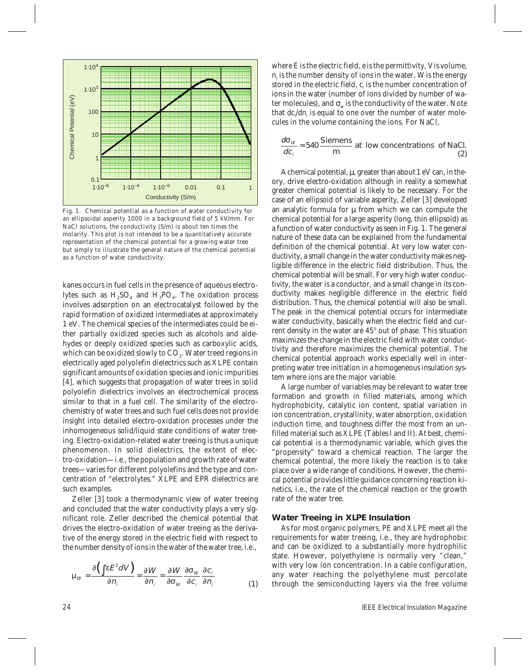

*Fig. 1. Chemical potential as a function of water conductivity for an ellipsoidal asperity 1000 in a background field of 5 kV/mm. For NaCl solutions, the conductivity (S/m) is about ten times the molarity. This plot is not intended to be a quantitatively accurate representation of the chemical potential for a growing water tree but simply to illustrate the general nature of the chemical potential as a function of water conductivity.*

kanes occurs in fuel cells in the presence of aqueous electrolytes such as  $H_2SO_4$  and  $H_3PO_4$ . The oxidation process involves adsorption on an electrocatalyst followed by the rapid formation of oxidized intermediates at approximately 1 eV. The chemical species of the intermediates could be either partially oxidized species such as alcohols and aldehydes or deeply oxidized species such as carboxylic acids, which can be oxidized slowly to  $CO<sub>2</sub>$ . Water treed regions in electrically aged polyolefin dielectrics such as XLPE contain significant amounts of oxidation species and ionic impurities [4], which suggests that propagation of water trees in solid polyolefin dielectrics involves an electrochemical process similar to that in a fuel cell. The similarity of the electrochemistry of water trees and such fuel cells does not provide insight into detailed electro-oxidation processes under the inhomogeneous solid/liquid state conditions of water treeing. Electro-oxidation-related water treeing is thus a unique phenomenon. In solid dielectrics, the extent of electro-oxidation—i.e., the population and growth rate of water trees—varies for different polyolefins and the type and concentration of "electrolytes." XLPE and EPR dielectrics are such examples.

Zeller [3] took a thermodynamic view of water treeing and concluded that the water conductivity plays a very significant role. Zeller described the chemical potential that drives the electro-oxidation of water treeing as the derivative of the energy stored in the electric field with respect to the number density of ions in the water of the water tree, i.e.,

$$
\mu_{W} = \frac{\partial (\int \varepsilon E^2 dV)}{\partial n_i} = \frac{\partial W}{\partial n_i} = \frac{\partial W}{\partial \sigma_{W}} \frac{\partial \sigma_{W}}{\partial c_i} \frac{\partial c_i}{\partial n_i}
$$
(1)

where *E* is the electric field, *e* is the permittivity, *V* is volume, *n*<sup>i</sup> is the number density of ions in the water, *W* is the energy stored in the electric field, *c*<sup>i</sup> is the number concentration of ions in the water (number of ions divided by number of water molecules), and  $\sigma_w$  is the conductivity of the water. Note that *dc<sub>i</sub>/dn<sub>i</sub>* is equal to one over the number of water molecules in the volume containing the ions. For NaCl,

$$
\frac{d\sigma_W}{dc_i} \approx 540 \frac{\text{Siemens}}{\text{m}} \text{ at low concentrations of NaCl.} \tag{2}
$$

A chemical potential,  $\mu$ , greater than about 1 eV can, in theory, drive electro-oxidation although in reality a somewhat greater chemical potential is likely to be necessary. For the case of an ellipsoid of variable asperity, Zeller [3] developed an analytic formula for  $\mu$  from which we can compute the chemical potential for a large asperity (long, thin ellipsoid) as a function of water conductivity as seen in Fig. 1. The general nature of these data can be explained from the fundamental definition of the chemical potential. At very low water conductivity, a small change in the water conductivity makes negligible difference in the electric field distribution. Thus, the chemical potential will be small. For very high water conductivity, the water is a conductor, and a small change in its conductivity makes negligible difference in the electric field distribution. Thus, the chemical potential will also be small. The peak in the chemical potential occurs for intermediate water conductivity, basically when the electric field and current density in the water are  $45^{\circ}$  out of phase. This situation maximizes the change in the electric field with water conductivity and therefore maximizes the chemical potential. The chemical potential approach works especially well in interpreting water tree initiation in a homogeneous insulation system where ions are the major variable.

A large number of variables may be relevant to water tree formation and growth in filled materials, among which hydrophobicity, catalytic ion content, spatial variation in ion concentration, crystallinity, water absorption, oxidation induction time, and toughness differ the most from an unfilled material such as XLPE (Tables I and II). At best, chemical potential is a thermodynamic variable, which gives the "propensity" toward a chemical reaction. The larger the chemical potential, the more likely the reaction is to take place over a wide range of conditions. However, the chemical potential provides little guidance concerning reaction kinetics, i.e., the rate of the chemical reaction or the growth rate of the water tree.

### **Water Treeing in XLPE Insulation**

As for most organic polymers, PE and XLPE meet all the requirements for water treeing, i.e., they are hydrophobic and can be oxidized to a substantially more hydrophilic state. However, polyethylene is normally very "clean," with very low ion concentration. In a cable configuration, any water reaching the polyethylene must percolate through the semiconducting layers via the free volume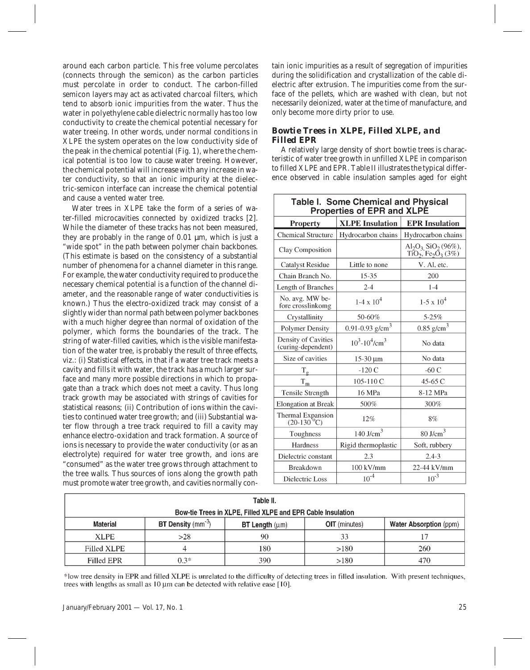around each carbon particle. This free volume percolates (connects through the semicon) as the carbon particles must percolate in order to conduct. The carbon-filled semicon layers may act as activated charcoal filters, which tend to absorb ionic impurities from the water. Thus the water in polyethylene cable dielectric normally has too low conductivity to create the chemical potential necessary for water treeing. In other words, under normal conditions in XLPE the system operates on the low conductivity side of the peak in the chemical potential (Fig. 1), where the chemical potential is too low to cause water treeing. However, the chemical potential will increase with any increase in water conductivity, so that an ionic impurity at the dielectric-semicon interface can increase the chemical potential and cause a vented water tree.

Water trees in XLPE take the form of a series of water-filled microcavities connected by oxidized tracks [2]. While the diameter of these tracks has not been measured, they are probably in the range of 0.01 µm, which is just a "wide spot" in the path between polymer chain backbones. (This estimate is based on the consistency of a substantial number of phenomena for a channel diameter in this range. For example, the water conductivity required to produce the necessary chemical potential is a function of the channel diameter, and the reasonable range of water conductivities is known.) Thus the electro-oxidized track may consist of a slightly wider than normal path between polymer backbones with a much higher degree than normal of oxidation of the polymer, which forms the boundaries of the track. The string of water-filled cavities, which is the visible manifestation of the water tree, is probably the result of three effects, viz.: (i) Statistical effects, in that if a water tree track meets a cavity and fills it with water, the track has a much larger surface and many more possible directions in which to propagate than a track which does not meet a cavity. Thus long track growth may be associated with strings of cavities for statistical reasons; (ii) Contribution of ions within the cavities to continued water tree growth; and (iii) Substantial water flow through a tree track required to fill a cavity may enhance electro-oxidation and track formation. A source of ions is necessary to provide the water conductivity (or as an electrolyte) required for water tree growth, and ions are "consumed" as the water tree grows through attachment to the tree walls. Thus sources of ions along the growth path must promote water tree growth, and cavities normally contain ionic impurities as a result of segregation of impurities during the solidification and crystallization of the cable dielectric after extrusion. The impurities come from the surface of the pellets, which are washed with clean, but not necessarily deionized, water at the time of manufacture, and only become more dirty prior to use.

# *Bowtie Trees in XLPE, Filled XLPE, and Filled EPR*

A relatively large density of short bowtie trees is characteristic of water tree growth in unfilled XLPE in comparison to filled XLPE and EPR. Table II illustrates the typical difference observed in cable insulation samples aged for eight

| <b>Table I. Some Chemical and Physical</b><br><b>Properties of EPR and XLPE</b> |                                 |                                                                                                                    |  |  |
|---------------------------------------------------------------------------------|---------------------------------|--------------------------------------------------------------------------------------------------------------------|--|--|
| <b>Property</b>                                                                 | <b>XLPE</b> Insulation          | <b>EPR</b> Insulation                                                                                              |  |  |
| <b>Chemical Structure</b>                                                       | Hydrocarbon chains              | Hydrocarbon chains                                                                                                 |  |  |
| Clay Composition                                                                |                                 | Al <sub>2</sub> O <sub>3</sub> , SiO <sub>2</sub> (96%),<br>TiO <sub>2</sub> , Fe <sub>2</sub> O <sub>3</sub> (3%) |  |  |
| <b>Catalyst Residue</b>                                                         | Little to none                  | V. Al, etc.                                                                                                        |  |  |
| Chain Branch No.                                                                | $15 - 35$                       | 200                                                                                                                |  |  |
| Length of Branches                                                              | $2 - 4$                         | $1-4$                                                                                                              |  |  |
| No. avg. MW be-<br>fore crosslinkomg                                            | $1-4 \times 10^4$               | $1-5 \times 10^4$                                                                                                  |  |  |
| Crystallinity                                                                   | 50-60%                          | 5-25%                                                                                                              |  |  |
| <b>Polymer Density</b>                                                          | $0.91 - 0.93$ g/cm <sup>3</sup> | $0.85$ g/cm <sup>3</sup>                                                                                           |  |  |
| Density of Cavities<br>(curing-dependent)                                       | $10^3 - 10^4$ /cm <sup>3</sup>  | No data                                                                                                            |  |  |
| Size of cavities                                                                | $15-30 \mu m$                   | No data                                                                                                            |  |  |
| $T_{\rho}$                                                                      | $-120C$                         | $-60C$                                                                                                             |  |  |
| $T_{m}$                                                                         | $105 - 110C$                    | 45-65 C                                                                                                            |  |  |
| <b>Tensile Strength</b>                                                         | 16 MPa                          | 8-12 MPa                                                                                                           |  |  |
| <b>Elongation at Break</b>                                                      | 500%                            | 300%                                                                                                               |  |  |
| Thermal Expansion<br>$(20-130\,^{\circ}\text{C})$                               | 12%                             | 8%                                                                                                                 |  |  |
| Toughness                                                                       | 140 J/cm $3$                    | $80$ J/cm <sup>3</sup>                                                                                             |  |  |
| Hardness                                                                        | Rigid thermoplastic             | Soft, rubbery                                                                                                      |  |  |
| Dielectric constant                                                             | 2.3                             | $2.4 - 3$                                                                                                          |  |  |
| Breakdown                                                                       | 100 kV/mm                       | 22-44 kV/mm                                                                                                        |  |  |
| Dielectric Loss                                                                 | $10^{-4}$                       | $10^{-3}$                                                                                                          |  |  |

| Table II.                                                   |                                 |                       |                      |                               |  |
|-------------------------------------------------------------|---------------------------------|-----------------------|----------------------|-------------------------------|--|
| Bow-tie Trees in XLPE, Filled XLPE and EPR Cable Insulation |                                 |                       |                      |                               |  |
| Material                                                    | <b>BT Density</b> (mm $^{-3}$ ) | $BT$ Length $(\mu m)$ | <b>OIT</b> (minutes) | <b>Water Absorption (ppm)</b> |  |
| <b>XLPE</b>                                                 | >28                             | 90                    | 33                   |                               |  |
| Filled XLPE                                                 |                                 | 180                   | >180                 | 260                           |  |
| <b>Filled EPR</b>                                           | $0.3*$                          | 390                   | >180                 | 470                           |  |

\*low tree density in EPR and filled XLPE is unrelated to the difficulty of detecting trees in filled insulation. With present techniques, trees with lengths as small as  $10 \mu m$  can be detected with relative ease [10].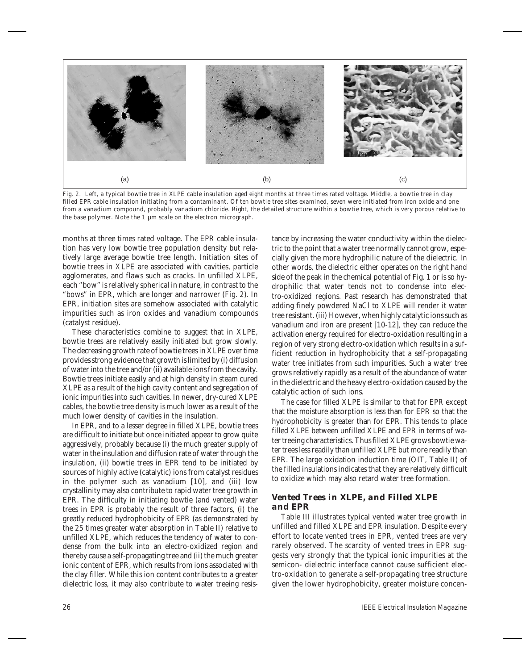

*Fig. 2. Left, a typical bowtie tree in XLPE cable insulation aged eight months at three times rated voltage. Middle, a bowtie tree in clay filled EPR cable insulation initiating from a contaminant. Of ten bowtie tree sites examined, seven were initiated from iron oxide and one from a vanadium compound, probably vanadium chloride. Right, the detailed structure within a bowtie tree, which is very porous relative to the base polymer. Note the 1* µ*m scale on the electron micrograph.*

months at three times rated voltage. The EPR cable insulation has very low bowtie tree population density but relatively large average bowtie tree length. Initiation sites of bowtie trees in XLPE are associated with cavities, particle agglomerates, and flaws such as cracks. In unfilled XLPE, each "bow" is relatively spherical in nature, in contrast to the "bows" in EPR, which are longer and narrower (Fig. 2). In EPR, initiation sites are somehow associated with catalytic impurities such as iron oxides and vanadium compounds (catalyst residue).

These characteristics combine to suggest that in XLPE, bowtie trees are relatively easily initiated but grow slowly. The decreasing growth rate of bowtie trees in XLPE over time provides strong evidence that growth is limited by (i) diffusion of water into the tree and/or (ii) available ions from the cavity. Bowtie trees initiate easily and at high density in steam cured XLPE as a result of the high cavity content and segregation of ionic impurities into such cavities. In newer, dry-cured XLPE cables, the bowtie tree density is much lower as a result of the much lower density of cavities in the insulation.

In EPR, and to a lesser degree in filled XLPE, bowtie trees are difficult to initiate but once initiated appear to grow quite aggressively, probably because (i) the much greater supply of water in the insulation and diffusion rate of water through the insulation, (ii) bowtie trees in EPR tend to be initiated by sources of highly active (catalytic) ions from catalyst residues in the polymer such as vanadium [10], and (iii) low crystallinity may also contribute to rapid water tree growth in EPR. The difficulty in initiating bowtie (and vented) water trees in EPR is probably the result of three factors, (i) the greatly reduced hydrophobicity of EPR (as demonstrated by the 25 times greater water absorption in Table II) relative to unfilled XLPE, which reduces the tendency of water to condense from the bulk into an electro-oxidized region and thereby cause a self-propagating tree and (ii) the much greater ionic content of EPR, which results from ions associated with the clay filler. While this ion content contributes to a greater dielectric loss, it may also contribute to water treeing resistance by increasing the water conductivity within the dielectric to the point that a water tree normally cannot grow, especially given the more hydrophilic nature of the dielectric. In other words, the dielectric either operates on the right hand side of the peak in the chemical potential of Fig. 1 or is so hydrophilic that water tends not to condense into electro-oxidized regions. Past research has demonstrated that adding finely powdered NaCl to XLPE will render it water tree resistant. (iii) However, when highly catalytic ions such as vanadium and iron are present [10-12], they can reduce the activation energy required for electro-oxidation resulting in a region of very strong electro-oxidation which results in a sufficient reduction in hydrophobicity that a self-propagating water tree initiates from such impurities. Such a water tree grows relatively rapidly as a result of the abundance of water in the dielectric and the heavy electro-oxidation caused by the catalytic action of such ions.

The case for filled XLPE is similar to that for EPR except that the moisture absorption is less than for EPR so that the hydrophobicity is greater than for EPR. This tends to place filled XLPE between unfilled XLPE and EPR in terms of water treeing characteristics. Thus filled XLPE grows bowtie water trees less readily than unfilled XLPE but more readily than EPR. The large oxidation induction time (OIT, Table II) of the filled insulations indicates that they are relatively difficult to oxidize which may also retard water tree formation.

# *Vented Trees in XLPE, and Filled XLPE and EPR*

Table III illustrates typical vented water tree growth in unfilled and filled XLPE and EPR insulation. Despite every effort to locate vented trees in EPR, vented trees are very rarely observed. The scarcity of vented trees in EPR suggests very strongly that the typical ionic impurities at the semicon- dielectric interface cannot cause sufficient electro-oxidation to generate a self-propagating tree structure given the lower hydrophobicity, greater moisture concen-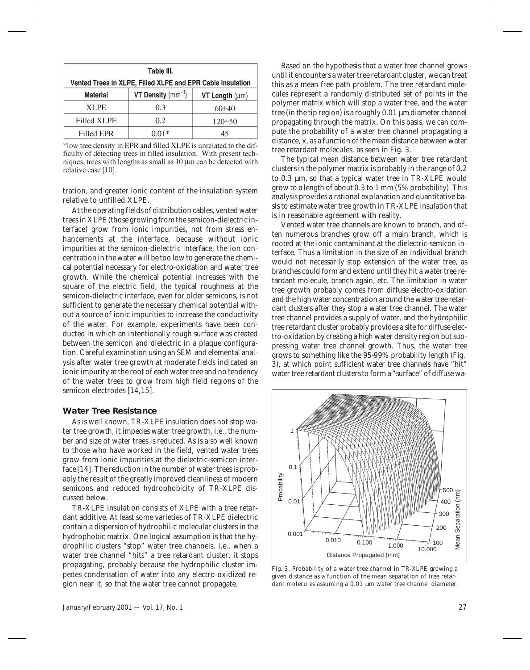| Table III.                                                 |                          |                     |  |  |  |
|------------------------------------------------------------|--------------------------|---------------------|--|--|--|
| Vented Trees in XLPE, Filled XLPE and EPR Cable Insulation |                          |                     |  |  |  |
| <b>Material</b>                                            | VT Density ( $mm^{-3}$ ) | VT Length $(\mu m)$ |  |  |  |
| XLPE                                                       | 0.3                      | $60+40$             |  |  |  |
| <b>Filled XLPE</b>                                         | 0.2                      | $120 \pm 50$        |  |  |  |
| Filled EPR                                                 | ) በ1*                    | 45                  |  |  |  |

\*low tree density in EPR and filled XLPE is unrelated to the difficulty of detecting trees in filled insulation. With present techniques, trees with lengths as small as 10 um can be detected with relative ease [10].

tration, and greater ionic content of the insulation system relative to unfilled XLPE.

At the operating fields of distribution cables, vented water trees in XLPE (those growing from the semicon-dielectric interface) grow from ionic impurities, not from stress enhancements at the interface, because without ionic impurities at the semicon-dielectric interface, the ion concentration in the water will be too low to generate the chemical potential necessary for electro-oxidation and water tree growth. While the chemical potential increases with the square of the electric field, the typical roughness at the semicon-dielectric interface, even for older semicons, is not sufficient to generate the necessary chemical potential without a source of ionic impurities to increase the conductivity of the water. For example, experiments have been conducted in which an intentionally rough surface was created between the semicon and dielectric in a plaque configuration. Careful examination using an SEM and elemental analysis after water tree growth at moderate fields indicated an ionic impurity at the root of each water tree and no tendency of the water trees to grow from high field regions of the semicon electrodes [14,15].

### **Water Tree Resistance**

As is well known, TR-XLPE insulation does not stop water tree growth, it impedes water tree growth, i.e., the number and size of water trees is reduced. As is also well known to those who have worked in the field, vented water trees grow from ionic impurities at the dielectric-semicon interface [14]. The reduction in the number of water trees is probably the result of the greatly improved cleanliness of modern semicons and reduced hydrophobicity of TR-XLPE discussed below.

TR-XLPE insulation consists of XLPE with a tree retardant additive. At least some varieties of TR-XLPE dielectric contain a dispersion of hydrophilic molecular clusters in the hydrophobic matrix. One logical assumption is that the hydrophilic clusters "stop" water tree channels, i.e., when a water tree channel "hits" a tree retardant cluster, it stops propagating, probably because the hydrophilic cluster impedes condensation of water into any electro-oxidized region near it, so that the water tree cannot propagate.

Based on the hypothesis that a water tree channel grows until it encounters a water tree retardant cluster, we can treat this as a mean free path problem. The tree retardant molecules represent a randomly distributed set of points in the polymer matrix which will stop a water tree, and the water tree (in the tip region) is a roughly 0.01 µm diameter channel propagating through the matrix. On this basis, we can compute the probability of a water tree channel propagating a distance, *x*, as a function of the mean distance between water tree retardant molecules, as seen in Fig. 3.

The typical mean distance between water tree retardant clusters in the polymer matrix is probably in the range of 0.2 to 0.3 µm, so that a typical water tree in TR-XLPE would grow to a length of about 0.3 to 1 mm (5% probability). This analysis provides a rational explanation and quantitative basis to estimate water tree growth in TR-XLPE insulation that is in reasonable agreement with reality.

Vented water tree channels are known to branch, and often numerous branches grow off a main branch, which is rooted at the ionic contaminant at the dielectric-semicon interface. Thus a limitation in the size of an individual branch would not necessarily stop extension of the water tree, as branches could form and extend until they hit a water tree retardant molecule, branch again, etc. The limitation in water tree growth probably comes from diffuse electro-oxidation and the high water concentration around the water tree retardant clusters after they stop a water tree channel. The water tree channel provides a supply of water, and the hydrophilic tree retardant cluster probably provides a site for diffuse electro-oxidation by creating a high water density region but suppressing water tree channel growth. Thus, the water tree grows to something like the 95–99% probability length (Fig. 3), at which point sufficient water tree channels have "hit" water tree retardant clusters to form a "surface" of diffuse wa-



*Fig. 3. Probability of a water tree channel in TR-XLPE growing a given distance as a function of the mean separation of tree retardant molecules assuming a 0.01* µ*m water tree channel diameter.*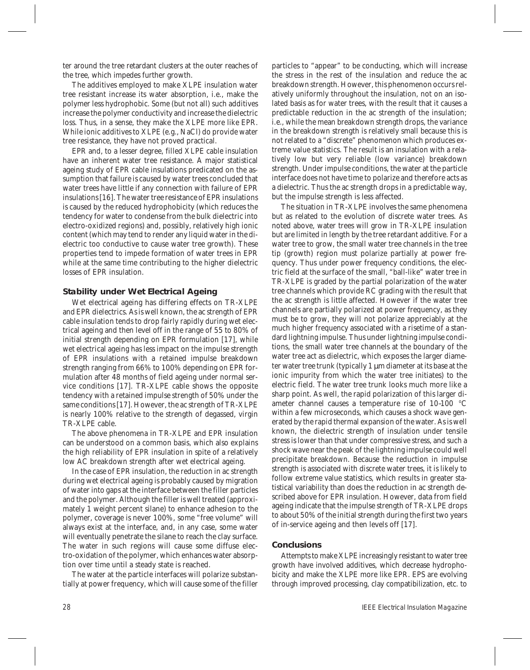ter around the tree retardant clusters at the outer reaches of the tree, which impedes further growth.

The additives employed to make XLPE insulation water tree resistant increase its water absorption, i.e., make the polymer less hydrophobic. Some (but not all) such additives increase the polymer conductivity and increase the dielectric loss. Thus, in a sense, they make the XLPE more like EPR. While ionic additives to XLPE (e.g., NaCl) do provide water tree resistance, they have not proved practical.

EPR and, to a lesser degree, filled XLPE cable insulation have an inherent water tree resistance. A major statistical ageing study of EPR cable insulations predicated on the assumption that failure is caused by water trees concluded that water trees have little if any connection with failure of EPR insulations [16]. The water tree resistance of EPR insulations is caused by the reduced hydrophobicity (which reduces the tendency for water to condense from the bulk dielectric into electro-oxidized regions) and, possibly, relatively high ionic content (which may tend to render any liquid water in the dielectric too conductive to cause water tree growth). These properties tend to impede formation of water trees in EPR while at the same time contributing to the higher dielectric losses of EPR insulation.

## **Stability under Wet Electrical Ageing**

Wet electrical ageing has differing effects on TR-XLPE and EPR dielectrics. As is well known, the ac strength of EPR cable insulation tends to drop fairly rapidly during wet electrical ageing and then level off in the range of 55 to 80% of initial strength depending on EPR formulation [17], while wet electrical ageing has less impact on the impulse strength of EPR insulations with a retained impulse breakdown strength ranging from 66% to 100% depending on EPR formulation after 48 months of field ageing under normal service conditions [17]. TR-XLPE cable shows the opposite tendency with a retained impulse strength of 50% under the same conditions [17]. However, the ac strength of TR-XLPE is nearly 100% relative to the strength of degassed, virgin TR-XLPE cable.

The above phenomena in TR-XLPE and EPR insulation can be understood on a common basis, which also explains the high reliability of EPR insulation in spite of a relatively low AC breakdown strength after wet electrical ageing.

In the case of EPR insulation, the reduction in ac strength during wet electrical ageing is probably caused by migration of water into gaps at the interface between the filler particles and the polymer. Although the filler is well treated (approximately 1 weight percent silane) to enhance adhesion to the polymer, coverage is never 100%, some "free volume" will always exist at the interface, and, in any case, some water will eventually penetrate the silane to reach the clay surface. The water in such regions will cause some diffuse electro-oxidation of the polymer, which enhances water absorption over time until a steady state is reached.

The water at the particle interfaces will polarize substantially at power frequency, which will cause some of the filler particles to "appear" to be conducting, which will increase the stress in the rest of the insulation and reduce the ac breakdown strength. However, this phenomenon occurs relatively uniformly throughout the insulation, not on an isolated basis as for water trees, with the result that it causes a predictable reduction in the ac strength of the insulation; i.e., while the mean breakdown strength drops, the variance in the breakdown strength is relatively small because this is not related to a "discrete" phenomenon which produces extreme value statistics. The result is an insulation with a relatively low but very reliable (low variance) breakdown strength. Under impulse conditions, the water at the particle interface does not have time to polarize and therefore acts as a dielectric. Thus the ac strength drops in a predictable way, but the impulse strength is less affected.

The situation in TR-XLPE involves the same phenomena but as related to the evolution of discrete water trees. As noted above, water trees will grow in TR-XLPE insulation but are limited in length by the tree retardant additive. For a water tree to grow, the small water tree channels in the tree tip (growth) region must polarize partially at power frequency. Thus under power frequency conditions, the electric field at the surface of the small, "ball-like" water tree in TR-XLPE is graded by the partial polarization of the water tree channels which provide RC grading with the result that the ac strength is little affected. However if the water tree channels are partially polarized at power frequency, as they must be to grow, they will not polarize appreciably at the much higher frequency associated with a risetime of a standard lightning impulse. Thus under lightning impulse conditions, the small water tree channels at the boundary of the water tree act as dielectric, which exposes the larger diameter water tree trunk (typically 1 µm diameter at its base at the ionic impurity from which the water tree initiates) to the electric field. The water tree trunk looks much more like a sharp point. As well, the rapid polarization of this larger diameter channel causes a temperature rise of 10-100 °C within a few microseconds, which causes a shock wave generated by the rapid thermal expansion of the water. As is well known, the dielectric strength of insulation under tensile stress is lower than that under compressive stress, and such a shock wave near the peak of the lightning impulse could well precipitate breakdown. Because the reduction in impulse strength is associated with discrete water trees, it is likely to follow extreme value statistics, which results in greater statistical variability than does the reduction in ac strength described above for EPR insulation. However, data from field ageing indicate that the impulse strength of TR-XLPE drops to about 50% of the initial strength during the first two years of in-service ageing and then levels off [17].

# **Conclusions**

Attempts to make XLPE increasingly resistant to water tree growth have involved additives, which decrease hydrophobicity and make the XLPE more like EPR. EPS are evolving through improved processing, clay compatibilization, etc. to